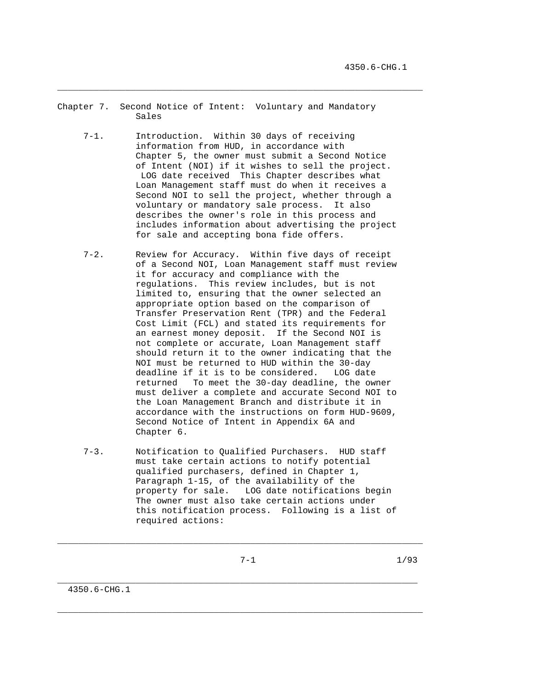- Chapter 7. Second Notice of Intent: Voluntary and Mandatory Sales
	- 7-1. Introduction. Within 30 days of receiving information from HUD, in accordance with Chapter 5, the owner must submit a Second Notice of Intent (NOI) if it wishes to sell the project. LOG date received This Chapter describes what Loan Management staff must do when it receives a Second NOI to sell the project, whether through a voluntary or mandatory sale process. It also describes the owner's role in this process and includes information about advertising the project for sale and accepting bona fide offers.

- 7-2. Review for Accuracy. Within five days of receipt of a Second NOI, Loan Management staff must review it for accuracy and compliance with the regulations. This review includes, but is not limited to, ensuring that the owner selected an appropriate option based on the comparison of Transfer Preservation Rent (TPR) and the Federal Cost Limit (FCL) and stated its requirements for an earnest money deposit. If the Second NOI is not complete or accurate, Loan Management staff should return it to the owner indicating that the NOI must be returned to HUD within the 30-day deadline if it is to be considered. LOG date returned To meet the 30-day deadline, the owner must deliver a complete and accurate Second NOI to the Loan Management Branch and distribute it in accordance with the instructions on form HUD-9609, Second Notice of Intent in Appendix 6A and Chapter 6.
- 7-3. Notification to Qualified Purchasers. HUD staff must take certain actions to notify potential qualified purchasers, defined in Chapter 1, Paragraph 1-15, of the availability of the property for sale. LOG date notifications begin The owner must also take certain actions under this notification process. Following is a list of required actions:

\_\_\_\_\_\_\_\_\_\_\_\_\_\_\_\_\_\_\_\_\_\_\_\_\_\_\_\_\_\_\_\_\_\_\_\_\_\_\_\_\_\_\_\_\_\_\_\_\_\_\_\_\_\_\_\_\_\_\_\_\_\_\_\_\_\_\_\_\_\_

\_\_\_\_\_\_\_\_\_\_\_\_\_\_\_\_\_\_\_\_\_\_\_\_\_\_\_\_\_\_\_\_\_\_\_\_\_\_\_\_\_\_\_\_\_\_\_\_\_\_\_\_\_\_\_\_\_\_\_\_\_\_\_\_\_\_\_\_\_

\_\_\_\_\_\_\_\_\_\_\_\_\_\_\_\_\_\_\_\_\_\_\_\_\_\_\_\_\_\_\_\_\_\_\_\_\_\_\_\_\_\_\_\_\_\_\_\_\_\_\_\_\_\_\_\_\_\_\_\_\_\_\_\_\_\_\_\_\_\_

 $7-1$  1/93

4350.6-CHG.1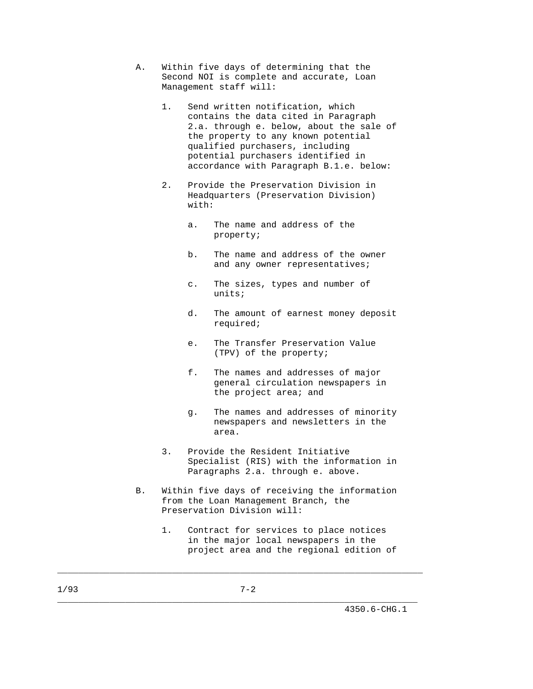- A. Within five days of determining that the Second NOI is complete and accurate, Loan Management staff will:
	- 1. Send written notification, which contains the data cited in Paragraph 2.a. through e. below, about the sale of the property to any known potential qualified purchasers, including potential purchasers identified in accordance with Paragraph B.1.e. below:
	- 2. Provide the Preservation Division in Headquarters (Preservation Division) with:
		- a. The name and address of the property;
		- b. The name and address of the owner and any owner representatives;
		- c. The sizes, types and number of units;
		- d. The amount of earnest money deposit required;
		- e. The Transfer Preservation Value (TPV) of the property;
		- f. The names and addresses of major general circulation newspapers in the project area; and
		- g. The names and addresses of minority newspapers and newsletters in the area.
	- 3. Provide the Resident Initiative Specialist (RIS) with the information in Paragraphs 2.a. through e. above.
- B. Within five days of receiving the information from the Loan Management Branch, the Preservation Division will:
	- 1. Contract for services to place notices in the major local newspapers in the project area and the regional edition of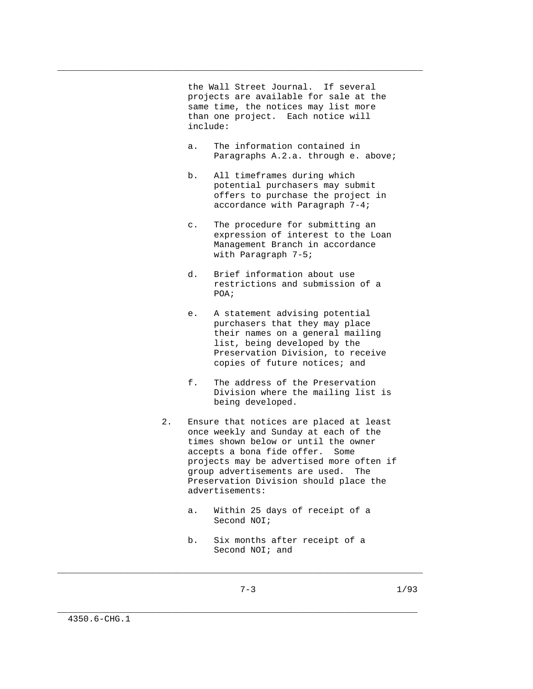the Wall Street Journal. If several projects are available for sale at the same time, the notices may list more than one project. Each notice will include:

\_\_\_\_\_\_\_\_\_\_\_\_\_\_\_\_\_\_\_\_\_\_\_\_\_\_\_\_\_\_\_\_\_\_\_\_\_\_\_\_\_\_\_\_\_\_\_\_\_\_\_\_\_\_\_\_\_\_\_\_\_\_\_\_\_\_\_\_\_\_

- a. The information contained in Paragraphs A.2.a. through e. above;
- b. All timeframes during which potential purchasers may submit offers to purchase the project in accordance with Paragraph 7-4;
- c. The procedure for submitting an expression of interest to the Loan Management Branch in accordance with Paragraph 7-5;
- d. Brief information about use restrictions and submission of a POA;
	- e. A statement advising potential purchasers that they may place their names on a general mailing list, being developed by the Preservation Division, to receive copies of future notices; and
	- f. The address of the Preservation Division where the mailing list is being developed.
	- 2. Ensure that notices are placed at least once weekly and Sunday at each of the times shown below or until the owner accepts a bona fide offer. Some projects may be advertised more often if group advertisements are used. The Preservation Division should place the advertisements:
		- a. Within 25 days of receipt of a Second NOI;
		- b. Six months after receipt of a Second NOI; and

\_\_\_\_\_\_\_\_\_\_\_\_\_\_\_\_\_\_\_\_\_\_\_\_\_\_\_\_\_\_\_\_\_\_\_\_\_\_\_\_\_\_\_\_\_\_\_\_\_\_\_\_\_\_\_\_\_\_\_\_\_\_\_\_\_\_\_\_\_\_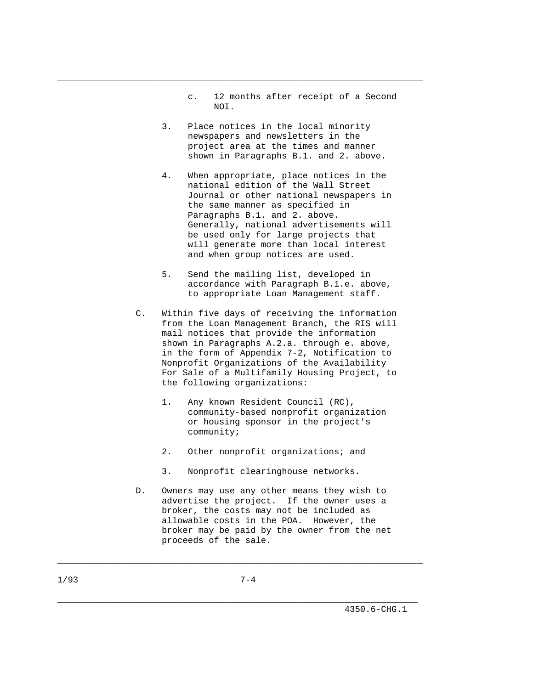- c. 12 months after receipt of a Second NOI.
	- 3. Place notices in the local minority newspapers and newsletters in the project area at the times and manner shown in Paragraphs B.1. and 2. above.

- 4. When appropriate, place notices in the national edition of the Wall Street Journal or other national newspapers in the same manner as specified in Paragraphs B.1. and 2. above. Generally, national advertisements will be used only for large projects that will generate more than local interest and when group notices are used.
- 5. Send the mailing list, developed in accordance with Paragraph B.1.e. above, to appropriate Loan Management staff.
- C. Within five days of receiving the information from the Loan Management Branch, the RIS will mail notices that provide the information shown in Paragraphs A.2.a. through e. above, in the form of Appendix 7-2, Notification to Nonprofit Organizations of the Availability For Sale of a Multifamily Housing Project, to the following organizations:
	- 1. Any known Resident Council (RC), community-based nonprofit organization or housing sponsor in the project's community;
	- 2. Other nonprofit organizations; and
	- 3. Nonprofit clearinghouse networks.
- D. Owners may use any other means they wish to advertise the project. If the owner uses a broker, the costs may not be included as allowable costs in the POA. However, the broker may be paid by the owner from the net proceeds of the sale.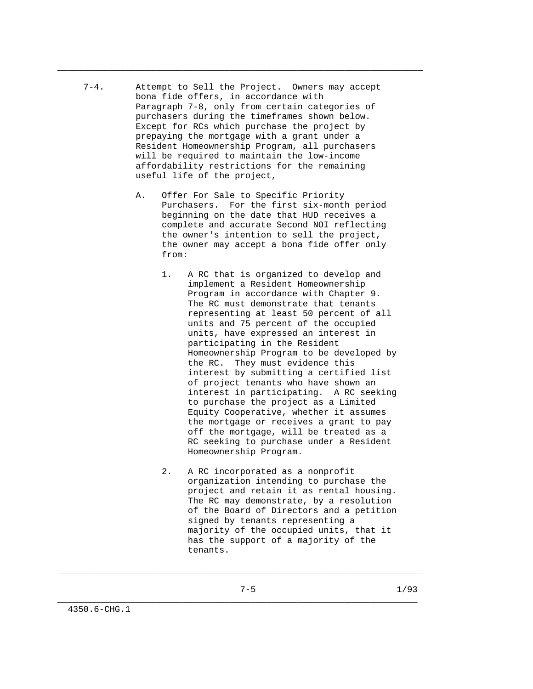7-4. Attempt to Sell the Project. Owners may accept bona fide offers, in accordance with Paragraph 7-8, only from certain categories of purchasers during the timeframes shown below. Except for RCs which purchase the project by prepaying the mortgage with a grant under a Resident Homeownership Program, all purchasers will be required to maintain the low-income affordability restrictions for the remaining useful life of the project,

\_\_\_\_\_\_\_\_\_\_\_\_\_\_\_\_\_\_\_\_\_\_\_\_\_\_\_\_\_\_\_\_\_\_\_\_\_\_\_\_\_\_\_\_\_\_\_\_\_\_\_\_\_\_\_\_\_\_\_\_\_\_\_\_\_\_\_\_\_\_

- A. Offer For Sale to Specific Priority Purchasers. For the first six-month period beginning on the date that HUD receives a complete and accurate Second NOI reflecting the owner's intention to sell the project, the owner may accept a bona fide offer only from:
	- 1. A RC that is organized to develop and implement a Resident Homeownership Program in accordance with Chapter 9. The RC must demonstrate that tenants representing at least 50 percent of all units and 75 percent of the occupied units, have expressed an interest in participating in the Resident Homeownership Program to be developed by the RC. They must evidence this interest by submitting a certified list of project tenants who have shown an interest in participating. A RC seeking to purchase the project as a Limited Equity Cooperative, whether it assumes the mortgage or receives a grant to pay off the mortgage, will be treated as a RC seeking to purchase under a Resident Homeownership Program.
	- 2. A RC incorporated as a nonprofit organization intending to purchase the project and retain it as rental housing. The RC may demonstrate, by a resolution of the Board of Directors and a petition signed by tenants representing a majority of the occupied units, that it has the support of a majority of the tenants.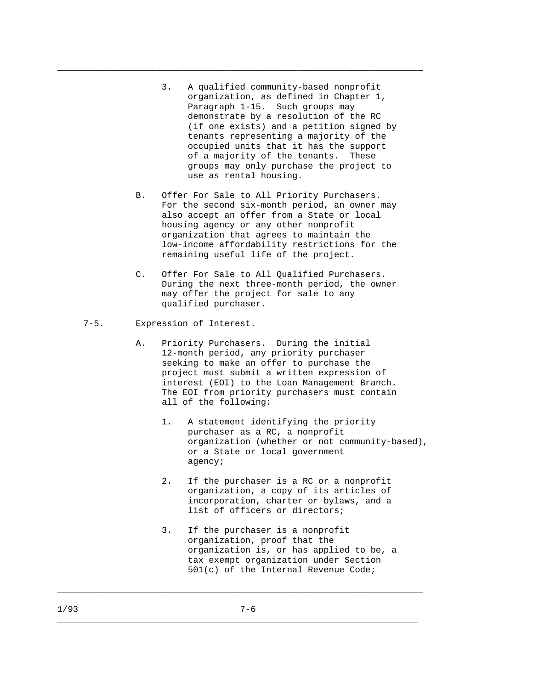3. A qualified community-based nonprofit organization, as defined in Chapter 1, Paragraph 1-15. Such groups may demonstrate by a resolution of the RC (if one exists) and a petition signed by tenants representing a majority of the occupied units that it has the support of a majority of the tenants. These groups may only purchase the project to use as rental housing.

\_\_\_\_\_\_\_\_\_\_\_\_\_\_\_\_\_\_\_\_\_\_\_\_\_\_\_\_\_\_\_\_\_\_\_\_\_\_\_\_\_\_\_\_\_\_\_\_\_\_\_\_\_\_\_\_\_\_\_\_\_\_\_\_\_\_\_\_\_\_

- B. Offer For Sale to All Priority Purchasers. For the second six-month period, an owner may also accept an offer from a State or local housing agency or any other nonprofit organization that agrees to maintain the low-income affordability restrictions for the remaining useful life of the project.
- C. Offer For Sale to All Qualified Purchasers. During the next three-month period, the owner may offer the project for sale to any qualified purchaser.
- 7-5. Expression of Interest.
	- A. Priority Purchasers. During the initial 12-month period, any priority purchaser seeking to make an offer to purchase the project must submit a written expression of interest (EOI) to the Loan Management Branch. The EOI from priority purchasers must contain all of the following:
		- 1. A statement identifying the priority purchaser as a RC, a nonprofit organization (whether or not community-based), or a State or local government agency;
		- 2. If the purchaser is a RC or a nonprofit organization, a copy of its articles of incorporation, charter or bylaws, and a list of officers or directors;
		- 3. If the purchaser is a nonprofit organization, proof that the organization is, or has applied to be, a tax exempt organization under Section 501(c) of the Internal Revenue Code;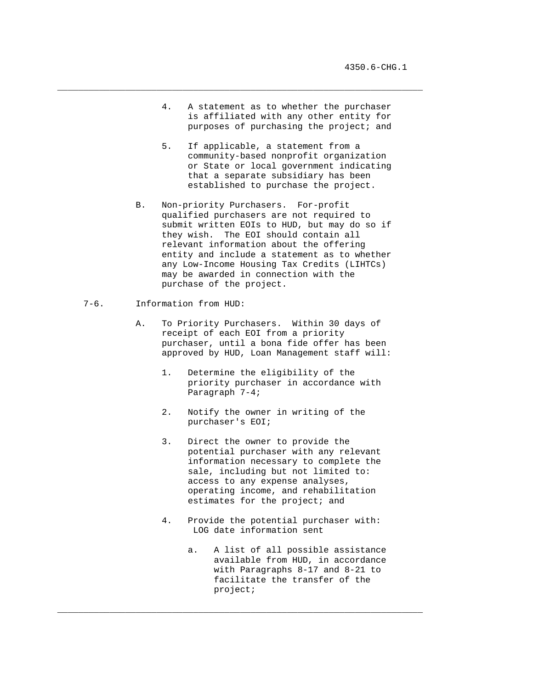4. A statement as to whether the purchaser is affiliated with any other entity for purposes of purchasing the project; and

\_\_\_\_\_\_\_\_\_\_\_\_\_\_\_\_\_\_\_\_\_\_\_\_\_\_\_\_\_\_\_\_\_\_\_\_\_\_\_\_\_\_\_\_\_\_\_\_\_\_\_\_\_\_\_\_\_\_\_\_\_\_\_\_\_\_\_\_\_\_

- 5. If applicable, a statement from a community-based nonprofit organization or State or local government indicating that a separate subsidiary has been established to purchase the project.
- B. Non-priority Purchasers. For-profit qualified purchasers are not required to submit written EOIs to HUD, but may do so if they wish. The EOI should contain all relevant information about the offering entity and include a statement as to whether any Low-Income Housing Tax Credits (LIHTCs) may be awarded in connection with the purchase of the project.
- 7-6. Information from HUD:
	- A. To Priority Purchasers. Within 30 days of receipt of each EOI from a priority purchaser, until a bona fide offer has been approved by HUD, Loan Management staff will:
		- 1. Determine the eligibility of the priority purchaser in accordance with Paragraph 7-4;
		- 2. Notify the owner in writing of the purchaser's EOI;
		- 3. Direct the owner to provide the potential purchaser with any relevant information necessary to complete the sale, including but not limited to: access to any expense analyses, operating income, and rehabilitation estimates for the project; and
		- 4. Provide the potential purchaser with: LOG date information sent

\_\_\_\_\_\_\_\_\_\_\_\_\_\_\_\_\_\_\_\_\_\_\_\_\_\_\_\_\_\_\_\_\_\_\_\_\_\_\_\_\_\_\_\_\_\_\_\_\_\_\_\_\_\_\_\_\_\_\_\_\_\_\_\_\_\_\_\_\_\_

 a. A list of all possible assistance available from HUD, in accordance with Paragraphs 8-17 and 8-21 to facilitate the transfer of the project;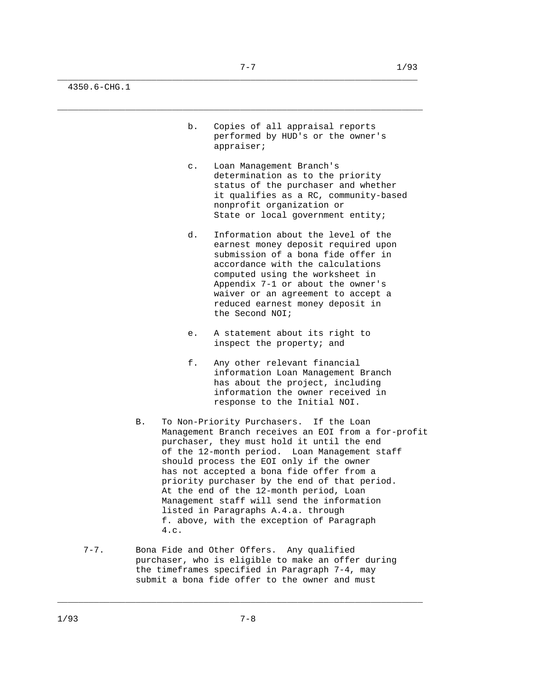4350.6-CHG.1

- b. Copies of all appraisal reports performed by HUD's or the owner's appraiser;
- c. Loan Management Branch's determination as to the priority status of the purchaser and whether it qualifies as a RC, community-based nonprofit organization or State or local government entity;
- d. Information about the level of the earnest money deposit required upon submission of a bona fide offer in accordance with the calculations computed using the worksheet in Appendix 7-1 or about the owner's waiver or an agreement to accept a reduced earnest money deposit in the Second NOI;
- e. A statement about its right to inspect the property; and
- f. Any other relevant financial information Loan Management Branch has about the project, including information the owner received in response to the Initial NOI.
- B. To Non-Priority Purchasers. If the Loan Management Branch receives an EOI from a for-profit purchaser, they must hold it until the end of the 12-month period. Loan Management staff should process the EOI only if the owner has not accepted a bona fide offer from a priority purchaser by the end of that period. At the end of the 12-month period, Loan Management staff will send the information listed in Paragraphs A.4.a. through f. above, with the exception of Paragraph 4.c.
- 7-7. Bona Fide and Other Offers. Any qualified purchaser, who is eligible to make an offer during the timeframes specified in Paragraph 7-4, may submit a bona fide offer to the owner and must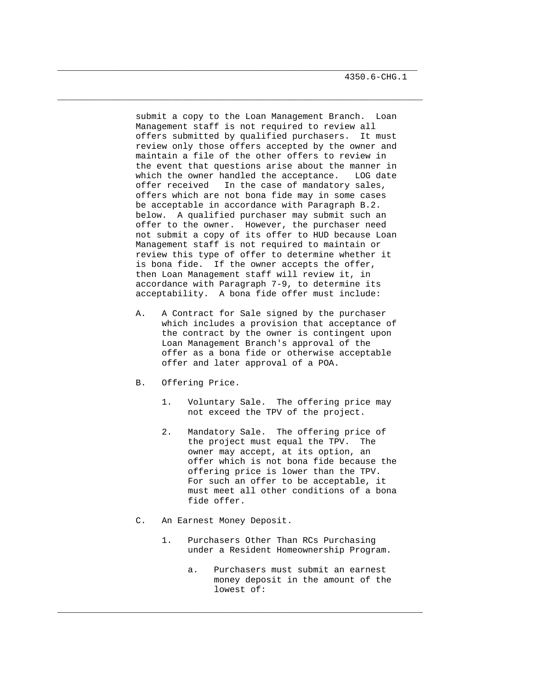submit a copy to the Loan Management Branch. Loan Management staff is not required to review all offers submitted by qualified purchasers. It must review only those offers accepted by the owner and maintain a file of the other offers to review in the event that questions arise about the manner in which the owner handled the acceptance. LOG date offer received In the case of mandatory sales, offers which are not bona fide may in some cases be acceptable in accordance with Paragraph B.2. below. A qualified purchaser may submit such an offer to the owner. However, the purchaser need not submit a copy of its offer to HUD because Loan Management staff is not required to maintain or review this type of offer to determine whether it is bona fide. If the owner accepts the offer, then Loan Management staff will review it, in accordance with Paragraph 7-9, to determine its acceptability. A bona fide offer must include:

\_\_\_\_\_\_\_\_\_\_\_\_\_\_\_\_\_\_\_\_\_\_\_\_\_\_\_\_\_\_\_\_\_\_\_\_\_\_\_\_\_\_\_\_\_\_\_\_\_\_\_\_\_\_\_\_\_\_\_\_\_\_\_\_\_\_\_\_\_

\_\_\_\_\_\_\_\_\_\_\_\_\_\_\_\_\_\_\_\_\_\_\_\_\_\_\_\_\_\_\_\_\_\_\_\_\_\_\_\_\_\_\_\_\_\_\_\_\_\_\_\_\_\_\_\_\_\_\_\_\_\_\_\_\_\_\_\_\_\_

- A. A Contract for Sale signed by the purchaser which includes a provision that acceptance of the contract by the owner is contingent upon Loan Management Branch's approval of the offer as a bona fide or otherwise acceptable offer and later approval of a POA.
- B. Offering Price.
	- 1. Voluntary Sale. The offering price may not exceed the TPV of the project.
	- 2. Mandatory Sale. The offering price of the project must equal the TPV. The owner may accept, at its option, an offer which is not bona fide because the offering price is lower than the TPV. For such an offer to be acceptable, it must meet all other conditions of a bona fide offer.
- C. An Earnest Money Deposit.
	- 1. Purchasers Other Than RCs Purchasing under a Resident Homeownership Program.

\_\_\_\_\_\_\_\_\_\_\_\_\_\_\_\_\_\_\_\_\_\_\_\_\_\_\_\_\_\_\_\_\_\_\_\_\_\_\_\_\_\_\_\_\_\_\_\_\_\_\_\_\_\_\_\_\_\_\_\_\_\_\_\_\_\_\_\_\_\_

 a. Purchasers must submit an earnest money deposit in the amount of the lowest of: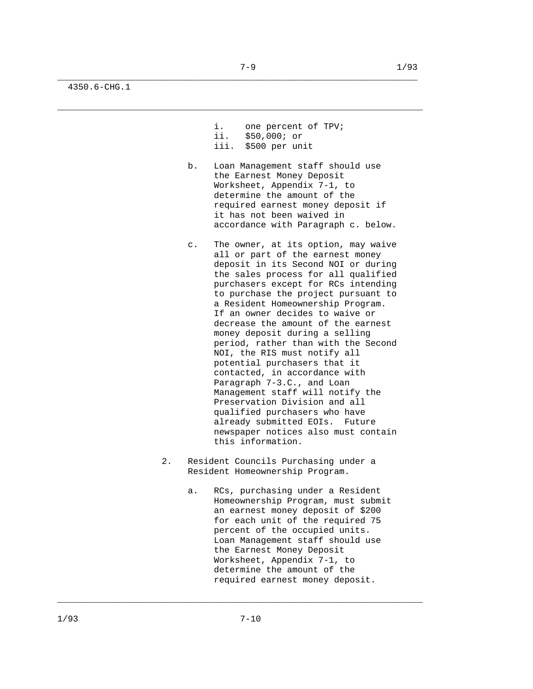4350.6-CHG.1

```
 i. one percent of TPV; 
ii. $50,000; or
```
- iii. \$500 per unit
- b. Loan Management staff should use the Earnest Money Deposit Worksheet, Appendix 7-1, to determine the amount of the required earnest money deposit if it has not been waived in accordance with Paragraph c. below.
- c. The owner, at its option, may waive all or part of the earnest money deposit in its Second NOI or during the sales process for all qualified purchasers except for RCs intending to purchase the project pursuant to a Resident Homeownership Program. If an owner decides to waive or decrease the amount of the earnest money deposit during a selling period, rather than with the Second NOI, the RIS must notify all potential purchasers that it contacted, in accordance with Paragraph 7-3.C., and Loan Management staff will notify the Preservation Division and all qualified purchasers who have already submitted EOIs. Future newspaper notices also must contain this information.
- 2. Resident Councils Purchasing under a Resident Homeownership Program.
	- a. RCs, purchasing under a Resident Homeownership Program, must submit an earnest money deposit of \$200 for each unit of the required 75 percent of the occupied units. Loan Management staff should use the Earnest Money Deposit Worksheet, Appendix 7-1, to determine the amount of the required earnest money deposit.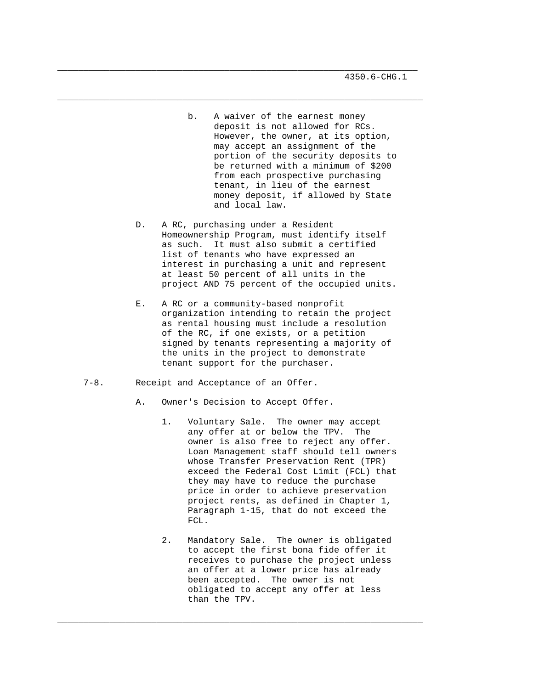- b. A waiver of the earnest money deposit is not allowed for RCs. However, the owner, at its option, may accept an assignment of the portion of the security deposits to be returned with a minimum of \$200 from each prospective purchasing tenant, in lieu of the earnest money deposit, if allowed by State and local law.
- D. A RC, purchasing under a Resident Homeownership Program, must identify itself as such. It must also submit a certified list of tenants who have expressed an interest in purchasing a unit and represent at least 50 percent of all units in the project AND 75 percent of the occupied units.

\_\_\_\_\_\_\_\_\_\_\_\_\_\_\_\_\_\_\_\_\_\_\_\_\_\_\_\_\_\_\_\_\_\_\_\_\_\_\_\_\_\_\_\_\_\_\_\_\_\_\_\_\_\_\_\_\_\_\_\_\_\_\_\_\_\_\_\_\_\_

- E. A RC or a community-based nonprofit organization intending to retain the project as rental housing must include a resolution of the RC, if one exists, or a petition signed by tenants representing a majority of the units in the project to demonstrate tenant support for the purchaser.
- 7-8. Receipt and Acceptance of an Offer.
	- A. Owner's Decision to Accept Offer.
		- 1. Voluntary Sale. The owner may accept any offer at or below the TPV. The owner is also free to reject any offer. Loan Management staff should tell owners whose Transfer Preservation Rent (TPR) exceed the Federal Cost Limit (FCL) that they may have to reduce the purchase price in order to achieve preservation project rents, as defined in Chapter 1, Paragraph 1-15, that do not exceed the FCL.
		- 2. Mandatory Sale. The owner is obligated to accept the first bona fide offer it receives to purchase the project unless an offer at a lower price has already been accepted. The owner is not obligated to accept any offer at less than the TPV.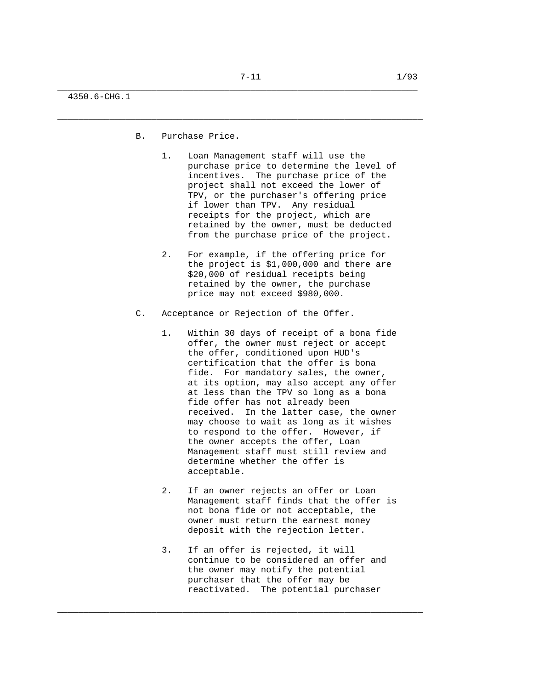\_\_\_\_\_\_\_\_\_\_\_\_\_\_\_\_\_\_\_\_\_\_\_\_\_\_\_\_\_\_\_\_\_\_\_\_\_\_\_\_\_\_\_\_\_\_\_\_\_\_\_\_\_\_\_\_\_\_\_\_\_\_\_\_\_\_\_\_\_\_

4350.6-CHG.1

- B. Purchase Price.
	- 1. Loan Management staff will use the purchase price to determine the level of incentives. The purchase price of the project shall not exceed the lower of TPV, or the purchaser's offering price if lower than TPV. Any residual receipts for the project, which are retained by the owner, must be deducted from the purchase price of the project.
	- 2. For example, if the offering price for the project is \$1,000,000 and there are \$20,000 of residual receipts being retained by the owner, the purchase price may not exceed \$980,000.
- C. Acceptance or Rejection of the Offer.
	- 1. Within 30 days of receipt of a bona fide offer, the owner must reject or accept the offer, conditioned upon HUD's certification that the offer is bona fide. For mandatory sales, the owner, at its option, may also accept any offer at less than the TPV so long as a bona fide offer has not already been received. In the latter case, the owner may choose to wait as long as it wishes to respond to the offer. However, if the owner accepts the offer, Loan Management staff must still review and determine whether the offer is acceptable.
	- 2. If an owner rejects an offer or Loan Management staff finds that the offer is not bona fide or not acceptable, the owner must return the earnest money deposit with the rejection letter.
	- 3. If an offer is rejected, it will continue to be considered an offer and the owner may notify the potential purchaser that the offer may be reactivated. The potential purchaser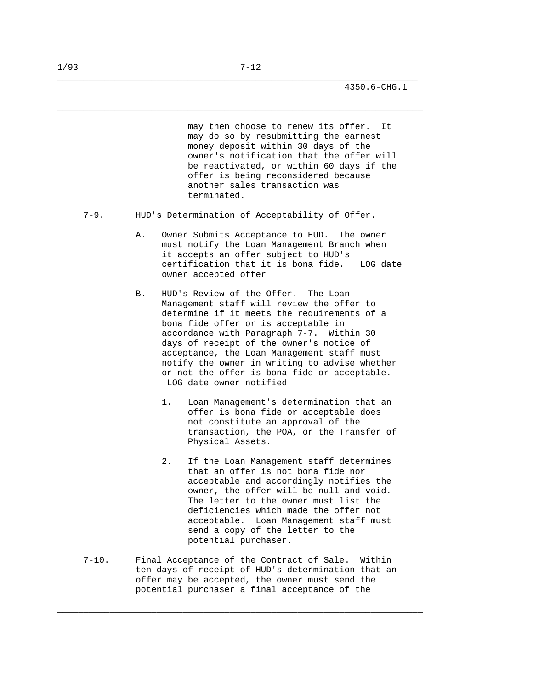may then choose to renew its offer. It may do so by resubmitting the earnest money deposit within 30 days of the owner's notification that the offer will be reactivated, or within 60 days if the offer is being reconsidered because another sales transaction was terminated.

7-9. HUD's Determination of Acceptability of Offer.

\_\_\_\_\_\_\_\_\_\_\_\_\_\_\_\_\_\_\_\_\_\_\_\_\_\_\_\_\_\_\_\_\_\_\_\_\_\_\_\_\_\_\_\_\_\_\_\_\_\_\_\_\_\_\_\_\_\_\_\_\_\_\_\_\_\_\_\_\_

\_\_\_\_\_\_\_\_\_\_\_\_\_\_\_\_\_\_\_\_\_\_\_\_\_\_\_\_\_\_\_\_\_\_\_\_\_\_\_\_\_\_\_\_\_\_\_\_\_\_\_\_\_\_\_\_\_\_\_\_\_\_\_\_\_\_\_\_\_\_

- A. Owner Submits Acceptance to HUD. The owner must notify the Loan Management Branch when it accepts an offer subject to HUD's certification that it is bona fide. LOG date owner accepted offer
- B. HUD's Review of the Offer. The Loan Management staff will review the offer to determine if it meets the requirements of a bona fide offer or is acceptable in accordance with Paragraph 7-7. Within 30 days of receipt of the owner's notice of acceptance, the Loan Management staff must notify the owner in writing to advise whether or not the offer is bona fide or acceptable. LOG date owner notified
	- 1. Loan Management's determination that an offer is bona fide or acceptable does not constitute an approval of the transaction, the POA, or the Transfer of Physical Assets.
	- 2. If the Loan Management staff determines that an offer is not bona fide nor acceptable and accordingly notifies the owner, the offer will be null and void. The letter to the owner must list the deficiencies which made the offer not acceptable. Loan Management staff must send a copy of the letter to the potential purchaser.
- 7-10. Final Acceptance of the Contract of Sale. Within ten days of receipt of HUD's determination that an offer may be accepted, the owner must send the potential purchaser a final acceptance of the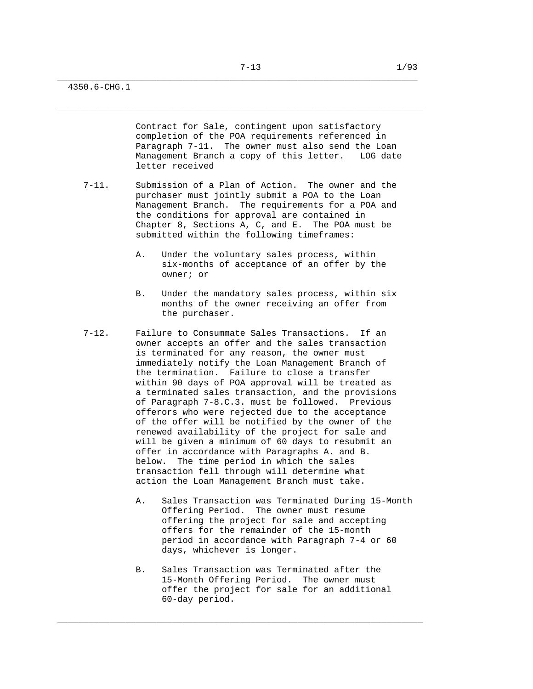\_\_\_\_\_\_\_\_\_\_\_\_\_\_\_\_\_\_\_\_\_\_\_\_\_\_\_\_\_\_\_\_\_\_\_\_\_\_\_\_\_\_\_\_\_\_\_\_\_\_\_\_\_\_\_\_\_\_\_\_\_\_\_\_\_\_\_\_\_\_

4350.6-CHG.1

 Contract for Sale, contingent upon satisfactory completion of the POA requirements referenced in Paragraph 7-11. The owner must also send the Loan Management Branch a copy of this letter. LOG date letter received

- 7-11. Submission of a Plan of Action. The owner and the purchaser must jointly submit a POA to the Loan Management Branch. The requirements for a POA and the conditions for approval are contained in Chapter 8, Sections A, C, and E. The POA must be submitted within the following timeframes:
	- A. Under the voluntary sales process, within six-months of acceptance of an offer by the owner; or
	- B. Under the mandatory sales process, within six months of the owner receiving an offer from the purchaser.
- 7-12. Failure to Consummate Sales Transactions. If an owner accepts an offer and the sales transaction is terminated for any reason, the owner must immediately notify the Loan Management Branch of the termination. Failure to close a transfer within 90 days of POA approval will be treated as a terminated sales transaction, and the provisions of Paragraph 7-8.C.3. must be followed. Previous offerors who were rejected due to the acceptance of the offer will be notified by the owner of the renewed availability of the project for sale and will be given a minimum of 60 days to resubmit an offer in accordance with Paragraphs A. and B. below. The time period in which the sales transaction fell through will determine what action the Loan Management Branch must take.
	- A. Sales Transaction was Terminated During 15-Month Offering Period. The owner must resume offering the project for sale and accepting offers for the remainder of the 15-month period in accordance with Paragraph 7-4 or 60 days, whichever is longer.
	- B. Sales Transaction was Terminated after the 15-Month Offering Period. The owner must offer the project for sale for an additional 60-day period.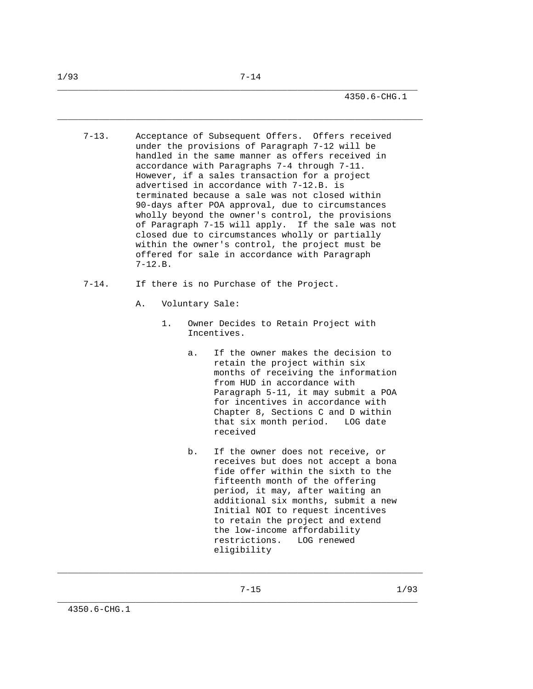\_\_\_\_\_\_\_\_\_\_\_\_\_\_\_\_\_\_\_\_\_\_\_\_\_\_\_\_\_\_\_\_\_\_\_\_\_\_\_\_\_\_\_\_\_\_\_\_\_\_\_\_\_\_\_\_\_\_\_\_\_\_\_\_\_\_\_\_\_\_

- 7-13. Acceptance of Subsequent Offers. Offers received under the provisions of Paragraph 7-12 will be handled in the same manner as offers received in accordance with Paragraphs 7-4 through 7-11. However, if a sales transaction for a project advertised in accordance with 7-12.B. is terminated because a sale was not closed within 90-days after POA approval, due to circumstances wholly beyond the owner's control, the provisions of Paragraph 7-15 will apply. If the sale was not closed due to circumstances wholly or partially within the owner's control, the project must be offered for sale in accordance with Paragraph 7-12.B.
- 7-14. If there is no Purchase of the Project.
	- A. Voluntary Sale:
		- 1. Owner Decides to Retain Project with Incentives.
			- a. If the owner makes the decision to retain the project within six months of receiving the information from HUD in accordance with Paragraph 5-11, it may submit a POA for incentives in accordance with Chapter 8, Sections C and D within that six month period. LOG date received
			- b. If the owner does not receive, or receives but does not accept a bona fide offer within the sixth to the fifteenth month of the offering period, it may, after waiting an additional six months, submit a new Initial NOI to request incentives to retain the project and extend the low-income affordability restrictions. LOG renewed eligibility

\_\_\_\_\_\_\_\_\_\_\_\_\_\_\_\_\_\_\_\_\_\_\_\_\_\_\_\_\_\_\_\_\_\_\_\_\_\_\_\_\_\_\_\_\_\_\_\_\_\_\_\_\_\_\_\_\_\_\_\_\_\_\_\_\_\_\_\_\_\_

7-15 1/93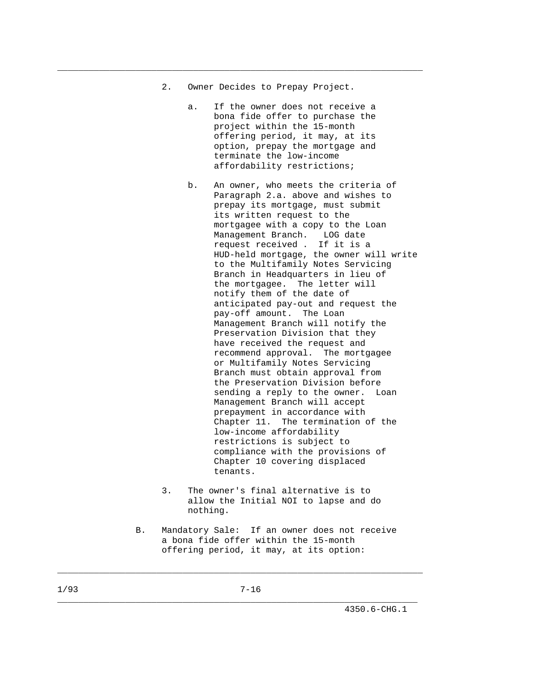2. Owner Decides to Prepay Project.

\_\_\_\_\_\_\_\_\_\_\_\_\_\_\_\_\_\_\_\_\_\_\_\_\_\_\_\_\_\_\_\_\_\_\_\_\_\_\_\_\_\_\_\_\_\_\_\_\_\_\_\_\_\_\_\_\_\_\_\_\_\_\_\_\_\_\_\_\_\_

- a. If the owner does not receive a bona fide offer to purchase the project within the 15-month offering period, it may, at its option, prepay the mortgage and terminate the low-income affordability restrictions;
- b. An owner, who meets the criteria of Paragraph 2.a. above and wishes to prepay its mortgage, must submit its written request to the mortgagee with a copy to the Loan Management Branch. LOG date request received . If it is a HUD-held mortgage, the owner will write to the Multifamily Notes Servicing Branch in Headquarters in lieu of the mortgagee. The letter will notify them of the date of anticipated pay-out and request the pay-off amount. The Loan Management Branch will notify the Preservation Division that they have received the request and recommend approval. The mortgagee or Multifamily Notes Servicing Branch must obtain approval from the Preservation Division before sending a reply to the owner. Loan Management Branch will accept prepayment in accordance with Chapter 11. The termination of the low-income affordability restrictions is subject to compliance with the provisions of Chapter 10 covering displaced tenants.
- 3. The owner's final alternative is to allow the Initial NOI to lapse and do nothing.
- B. Mandatory Sale: If an owner does not receive a bona fide offer within the 15-month offering period, it may, at its option: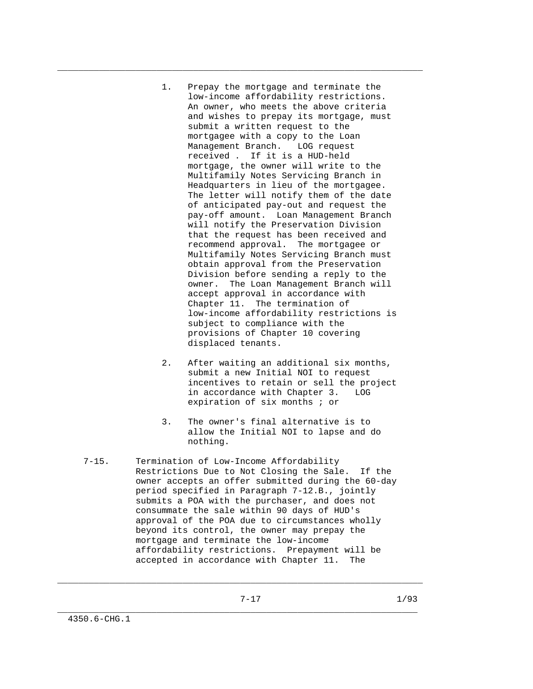1. Prepay the mortgage and terminate the low-income affordability restrictions. An owner, who meets the above criteria and wishes to prepay its mortgage, must submit a written request to the mortgagee with a copy to the Loan Management Branch. LOG request received . If it is a HUD-held mortgage, the owner will write to the Multifamily Notes Servicing Branch in Headquarters in lieu of the mortgagee. The letter will notify them of the date of anticipated pay-out and request the pay-off amount. Loan Management Branch will notify the Preservation Division that the request has been received and recommend approval. The mortgagee or Multifamily Notes Servicing Branch must obtain approval from the Preservation Division before sending a reply to the owner. The Loan Management Branch will accept approval in accordance with Chapter 11. The termination of low-income affordability restrictions is subject to compliance with the provisions of Chapter 10 covering displaced tenants.

\_\_\_\_\_\_\_\_\_\_\_\_\_\_\_\_\_\_\_\_\_\_\_\_\_\_\_\_\_\_\_\_\_\_\_\_\_\_\_\_\_\_\_\_\_\_\_\_\_\_\_\_\_\_\_\_\_\_\_\_\_\_\_\_\_\_\_\_\_\_

- 2. After waiting an additional six months, submit a new Initial NOI to request incentives to retain or sell the project in accordance with Chapter 3. LOG expiration of six months ; or
- 3. The owner's final alternative is to allow the Initial NOI to lapse and do nothing.
- 7-15. Termination of Low-Income Affordability Restrictions Due to Not Closing the Sale. If the owner accepts an offer submitted during the 60-day period specified in Paragraph 7-12.B., jointly submits a POA with the purchaser, and does not consummate the sale within 90 days of HUD's approval of the POA due to circumstances wholly beyond its control, the owner may prepay the mortgage and terminate the low-income affordability restrictions. Prepayment will be accepted in accordance with Chapter 11. The

\_\_\_\_\_\_\_\_\_\_\_\_\_\_\_\_\_\_\_\_\_\_\_\_\_\_\_\_\_\_\_\_\_\_\_\_\_\_\_\_\_\_\_\_\_\_\_\_\_\_\_\_\_\_\_\_\_\_\_\_\_\_\_\_\_\_\_\_\_\_